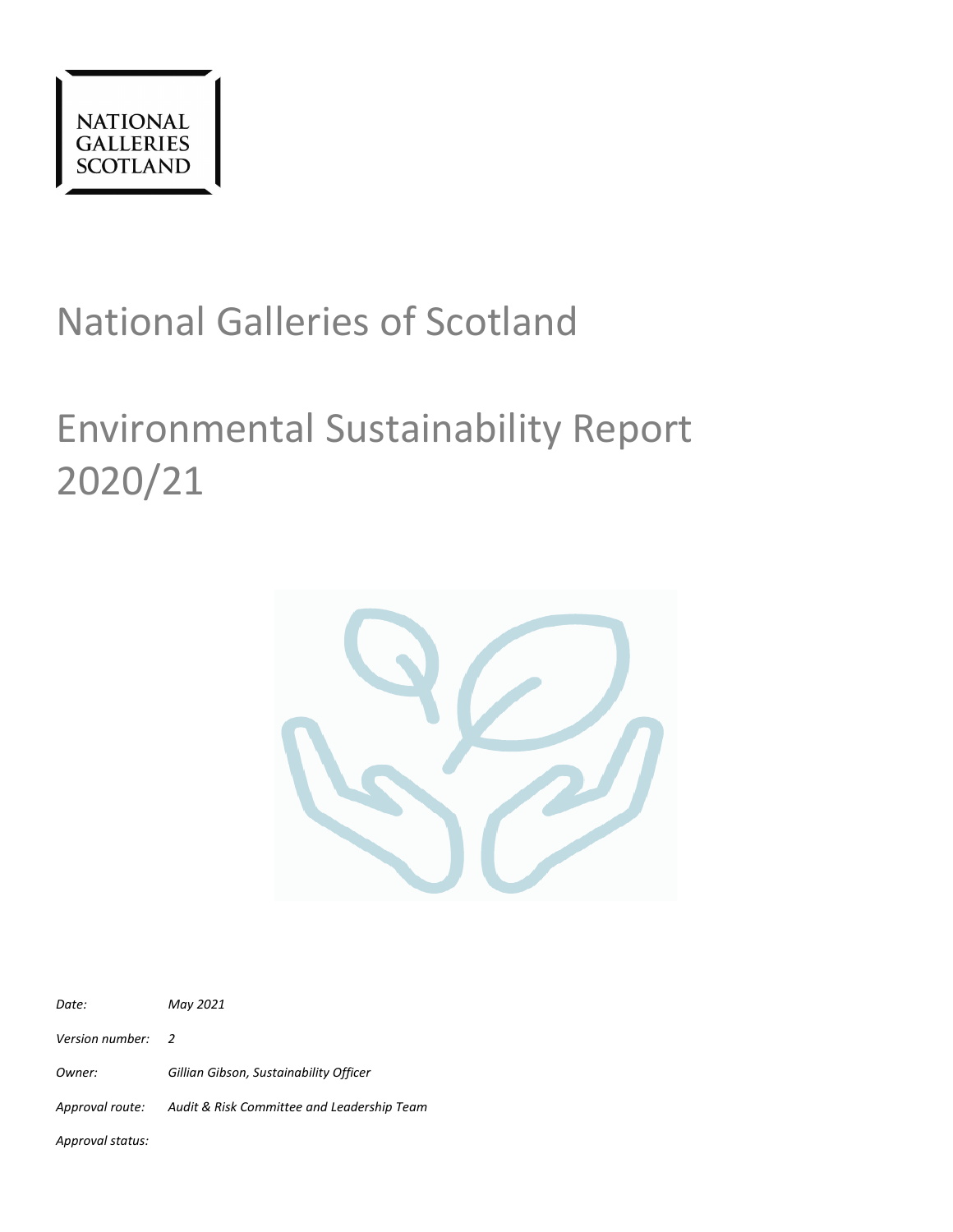

# National Galleries of Scotland

# Environmental Sustainability Report 2020/21



| Date:             | May 2021                                                   |
|-------------------|------------------------------------------------------------|
| Version number: 2 |                                                            |
| Owner:            | Gillian Gibson, Sustainability Officer                     |
|                   | Approval route: Audit & Risk Committee and Leadership Team |
|                   |                                                            |

*Approval status:*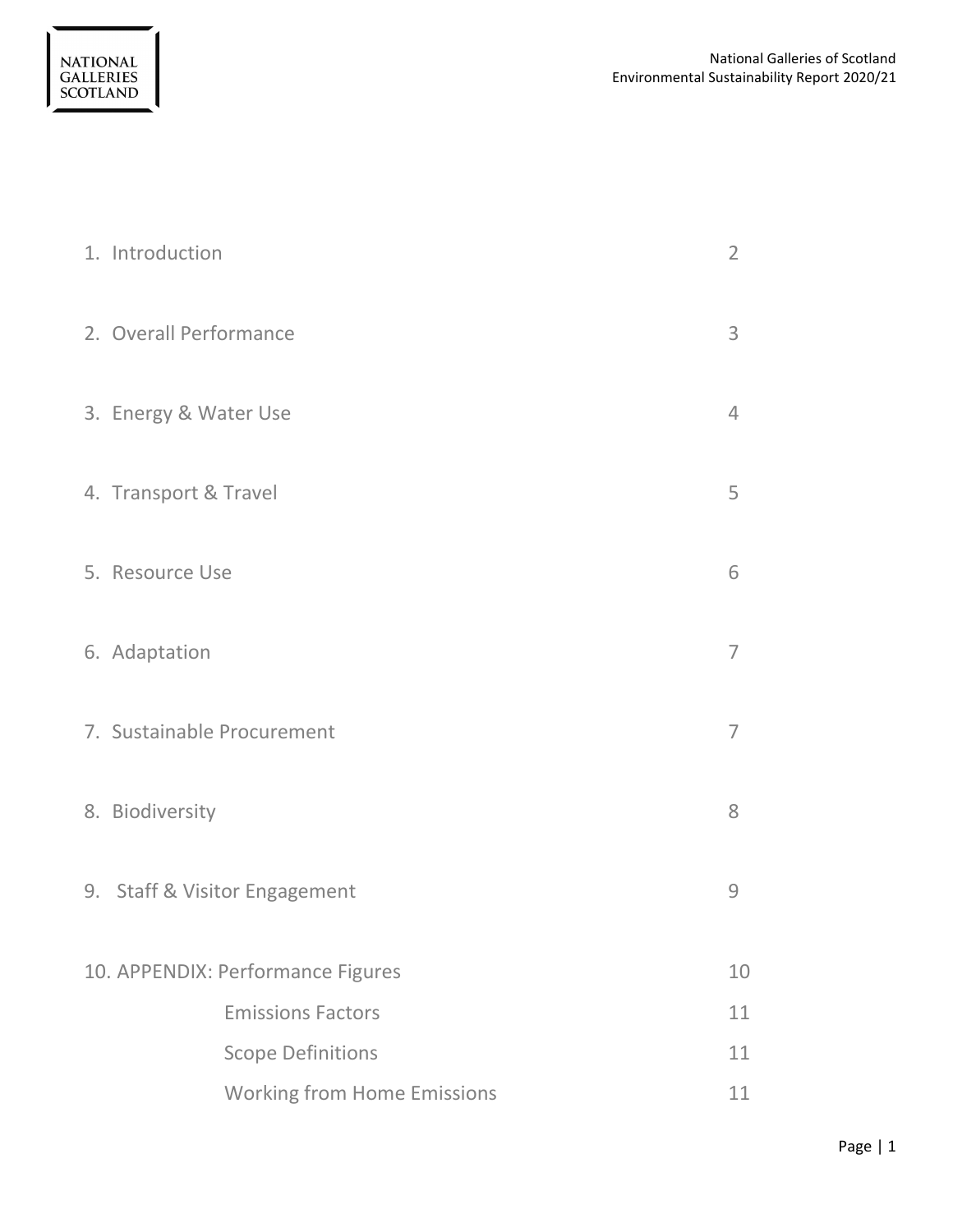| 1. Introduction                    |                |  |  |  |
|------------------------------------|----------------|--|--|--|
| 2. Overall Performance             | 3              |  |  |  |
| 3. Energy & Water Use              | $\overline{4}$ |  |  |  |
| 4. Transport & Travel              | 5              |  |  |  |
| 5. Resource Use                    | 6              |  |  |  |
| 6. Adaptation                      | $\overline{7}$ |  |  |  |
| 7. Sustainable Procurement         | $\overline{7}$ |  |  |  |
| 8. Biodiversity                    | 8              |  |  |  |
| 9. Staff & Visitor Engagement      | 9              |  |  |  |
| 10. APPENDIX: Performance Figures  | 10             |  |  |  |
| <b>Emissions Factors</b>           | 11             |  |  |  |
| <b>Scope Definitions</b>           | 11             |  |  |  |
| <b>Working from Home Emissions</b> | 11             |  |  |  |

NATIONAL<br>GALLERIES<br>SCOTLAND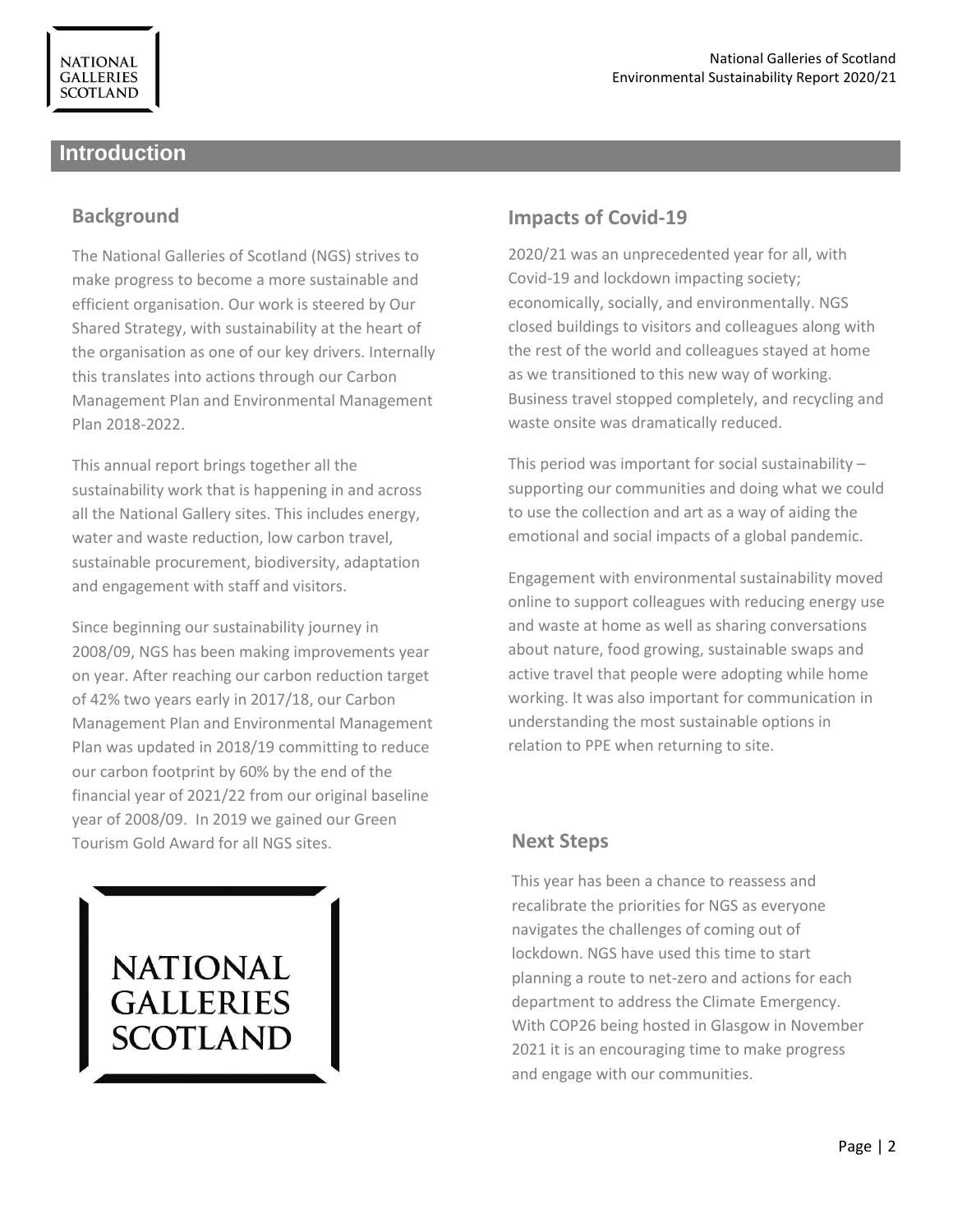# **Introduction**

## **Background**

The National Galleries of Scotland (NGS) strives to make progress to become a more sustainable and efficient organisation. Our work is steered by Our Shared Strategy, with sustainability at the heart of the organisation as one of our key drivers. Internally this translates into actions through our Carbon Management Plan and Environmental Management Plan 2018-2022.

This annual report brings together all the sustainability work that is happening in and across all the National Gallery sites. This includes energy, water and waste reduction, low carbon travel, sustainable procurement, biodiversity, adaptation and engagement with staff and visitors.

Since beginning our sustainability journey in 2008/09, NGS has been making improvements year on year. After reaching our carbon reduction target of 42% two years early in 2017/18, our Carbon Management Plan and Environmental Management Plan was updated in 2018/19 committing to reduce our carbon footprint by 60% by the end of the financial year of 2021/22 from our original baseline year of 2008/09. In 2019 we gained our Green Tourism Gold Award for all NGS sites.

# **NATIONAL GALLERIES SCOTLAND**

# **Impacts of Covid-19**

2020/21 was an unprecedented year for all, with Covid-19 and lockdown impacting society; economically, socially, and environmentally. NGS closed buildings to visitors and colleagues along with the rest of the world and colleagues stayed at home as we transitioned to this new way of working. Business travel stopped completely, and recycling and waste onsite was dramatically reduced.

This period was important for social sustainability – supporting our communities and doing what we could to use the collection and art as a way of aiding the emotional and social impacts of a global pandemic.

Engagement with environmental sustainability moved online to support colleagues with reducing energy use and waste at home as well as sharing conversations about nature, food growing, sustainable swaps and active travel that people were adopting while home working. It was also important for communication in understanding the most sustainable options in relation to PPE when returning to site.

# **Next Steps**

This year has been a chance to reassess and recalibrate the priorities for NGS as everyone navigates the challenges of coming out of lockdown. NGS have used this time to start planning a route to net-zero and actions for each department to address the Climate Emergency. With COP26 being hosted in Glasgow in November 2021 it is an encouraging time to make progress and engage with our communities.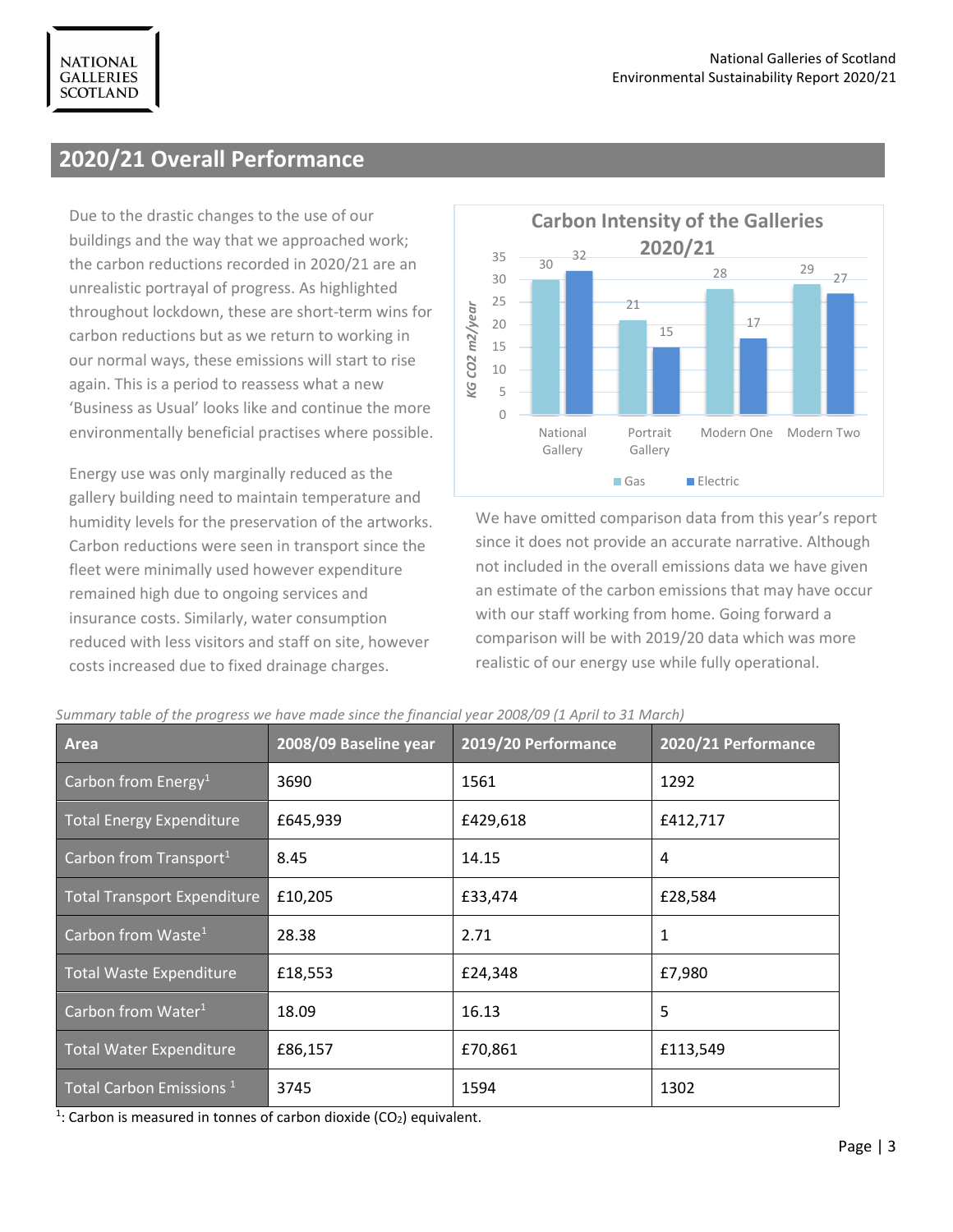# **2020/21 Overall Performance**

**NATIONAL GALLERIES SCOTLAND** 

Due to the drastic changes to the use of our buildings and the way that we approached work; the carbon reductions recorded in 2020/21 are an unrealistic portrayal of progress. As highlighted throughout lockdown, these are short-term wins for carbon reductions but as we return to working in our normal ways, these emissions will start to rise again. This is a period to reassess what a new 'Business as Usual' looks like and continue the more environmentally beneficial practises where possible.

Energy use was only marginally reduced as the gallery building need to maintain temperature and humidity levels for the preservation of the artworks. Carbon reductions were seen in transport since the fleet were minimally used however expenditure remained high due to ongoing services and insurance costs. Similarly, water consumption reduced with less visitors and staff on site, however costs increased due to fixed drainage charges.



We have omitted comparison data from this year's report since it does not provide an accurate narrative. Although not included in the overall emissions data we have given an estimate of the carbon emissions that may have occur with our staff working from home. Going forward a comparison will be with 2019/20 data which was more realistic of our energy use while fully operational.

| Area                                | 2008/09 Baseline year | 2019/20 Performance | 2020/21 Performance |  |
|-------------------------------------|-----------------------|---------------------|---------------------|--|
| Carbon from Energy <sup>1</sup>     | 3690                  | 1561                | 1292                |  |
| Total Energy Expenditure            | £645,939              | £429,618            | £412,717            |  |
| Carbon from Transport <sup>1</sup>  | 8.45                  | 14.15               | 4                   |  |
| Total Transport Expenditure         | £10,205               | £33,474             | £28,584             |  |
| Carbon from Waste $1$               | 28.38                 | 2.71                | $\mathbf{1}$        |  |
| Total Waste Expenditure             | £18,553               | £24,348             | £7,980              |  |
| Carbon from Water $1$               | 18.09                 | 16.13               | 5                   |  |
| Total Water Expenditure             | £86,157               | £70,861             | £113,549            |  |
| Total Carbon Emissions <sup>1</sup> | 3745                  | 1594                | 1302                |  |

*Summary table of the progress we have made since the financial year 2008/09 (1 April to 31 March)*

 $1$ : Carbon is measured in tonnes of carbon dioxide (CO<sub>2</sub>) equivalent.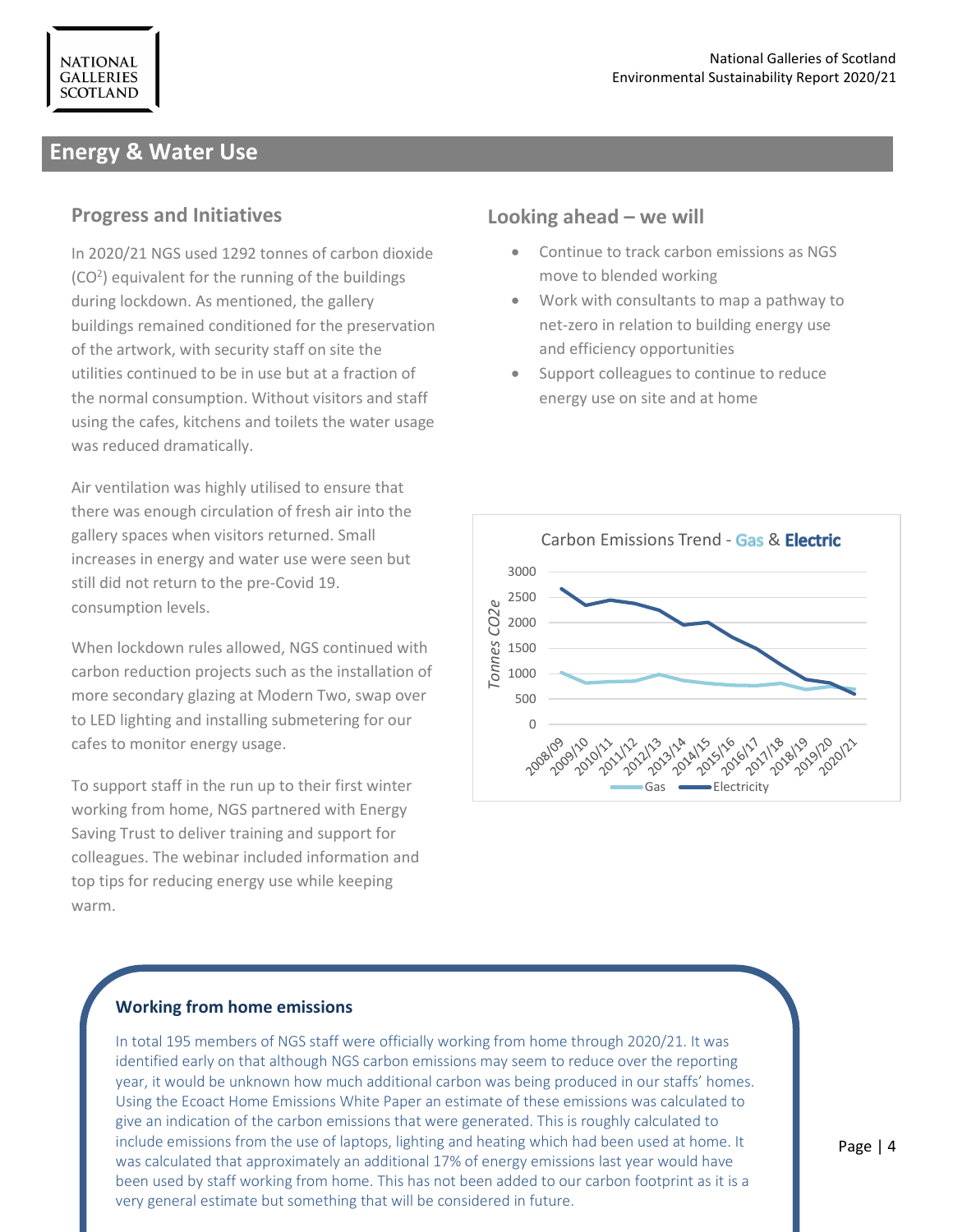# **Energy & Water Use**

#### **Progress and Initiatives**

In 2020/21 NGS used 1292 tonnes of carbon dioxide (CO<sup>2</sup>) equivalent for the running of the buildings during lockdown. As mentioned, the gallery buildings remained conditioned for the preservation of the artwork, with security staff on site the utilities continued to be in use but at a fraction of the normal consumption. Without visitors and staff using the cafes, kitchens and toilets the water usage was reduced dramatically.

Air ventilation was highly utilised to ensure that there was enough circulation of fresh air into the gallery spaces when visitors returned. Small increases in energy and water use were seen but still did not return to the pre-Covid 19. consumption levels.

When lockdown rules allowed, NGS continued with carbon reduction projects such as the installation of more secondary glazing at Modern Two, swap over to LED lighting and installing submetering for our cafes to monitor energy usage.

To support staff in the run up to their first winter working from home, NGS partnered with Energy Saving Trust to deliver training and support for colleagues. The webinar included information and top tips for reducing energy use while keeping warm.

# **Looking ahead – we will**

- Continue to track carbon emissions as NGS move to blended working
- Work with consultants to map a pathway to net-zero in relation to building energy use and efficiency opportunities
- Support colleagues to continue to reduce energy use on site and at home



#### **Working from home emissions**

In total 195 members of NGS staff were officially working from home through 2020/21. It was identified early on that although NGS carbon emissions may seem to reduce over the reporting year, it would be unknown how much additional carbon was being produced in our staffs' homes. Using the Ecoact Home Emissions White Paper an estimate of these emissions was calculated to give an indication of the carbon emissions that were generated. This is roughly calculated to include emissions from the use of laptops, lighting and heating which had been used at home. It was calculated that approximately an additional 17% of energy emissions last year would have been used by staff working from home. This has not been added to our carbon footprint as it is a very general estimate but something that will be considered in future.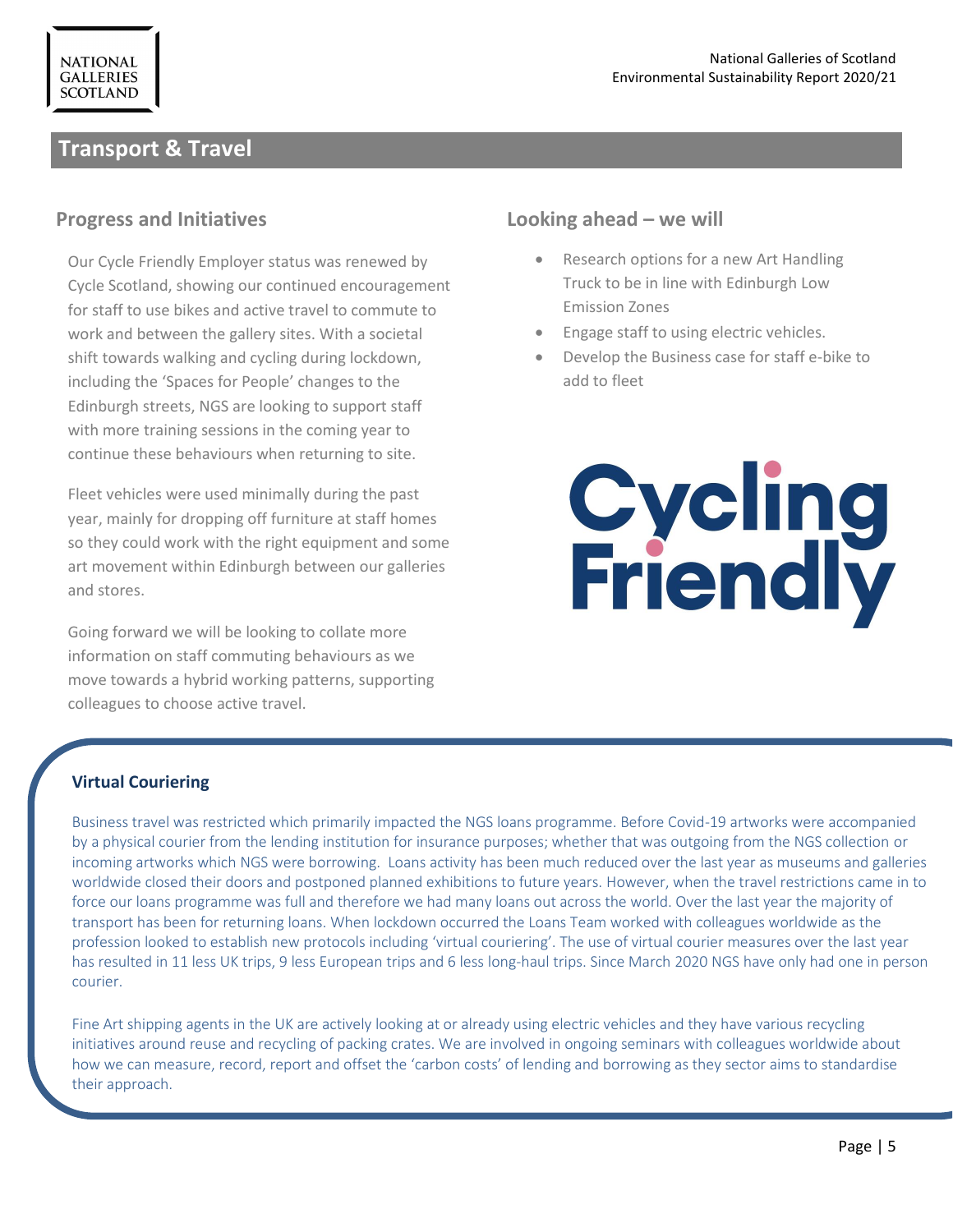# **Transport & Travel**

#### **Progress and Initiatives**

Our Cycle Friendly Employer status was renewed by Cycle Scotland, showing our continued encouragement for staff to use bikes and active travel to commute to work and between the gallery sites. With a societal shift towards walking and cycling during lockdown, including the 'Spaces for People' changes to the Edinburgh streets, NGS are looking to support staff with more training sessions in the coming year to continue these behaviours when returning to site.

so they codid work with the right equipment and some art movement within Edinburgh between our galleries Fleet vehicles were used minimally during the past year, mainly for dropping off furniture at staff homes so they could work with the right equipment and some and stores.

Going forward we will be looking to collate more information on staff commuting behaviours as we move towards a hybrid working patterns, supporting colleagues to choose active travel.

## **Looking ahead – we will**

- Research options for a new Art Handling Truck to be in line with Edinburgh Low Emission Zones
- Engage staff to using electric vehicles.
- Develop the Business case for staff e-bike to add to fleet

# **Cycling<br>Friendly**

#### **Virtual Couriering**

Business travel was restricted which primarily impacted the NGS loans programme. Before Covid-19 artworks were accompanied by a physical courier from the lending institution for insurance purposes; whether that was outgoing from the NGS collection or incoming artworks which NGS were borrowing. Loans activity has been much reduced over the last year as museums and galleries worldwide closed their doors and postponed planned exhibitions to future years. However, when the travel restrictions came in to force our loans programme was full and therefore we had many loans out across the world. Over the last year the majority of transport has been for returning loans. When lockdown occurred the Loans Team worked with colleagues worldwide as the profession looked to establish new protocols including 'virtual couriering'. The use of virtual courier measures over the last year has resulted in 11 less UK trips, 9 less European trips and 6 less long-haul trips. Since March 2020 NGS have only had one in person courier.

Fine Art shipping agents in the UK are actively looking at or already using electric vehicles and they have various recycling initiatives around reuse and recycling of packing crates. We are involved in ongoing seminars with colleagues worldwide about how we can measure, record, report and offset the 'carbon costs' of lending and borrowing as they sector aims to standardise their approach.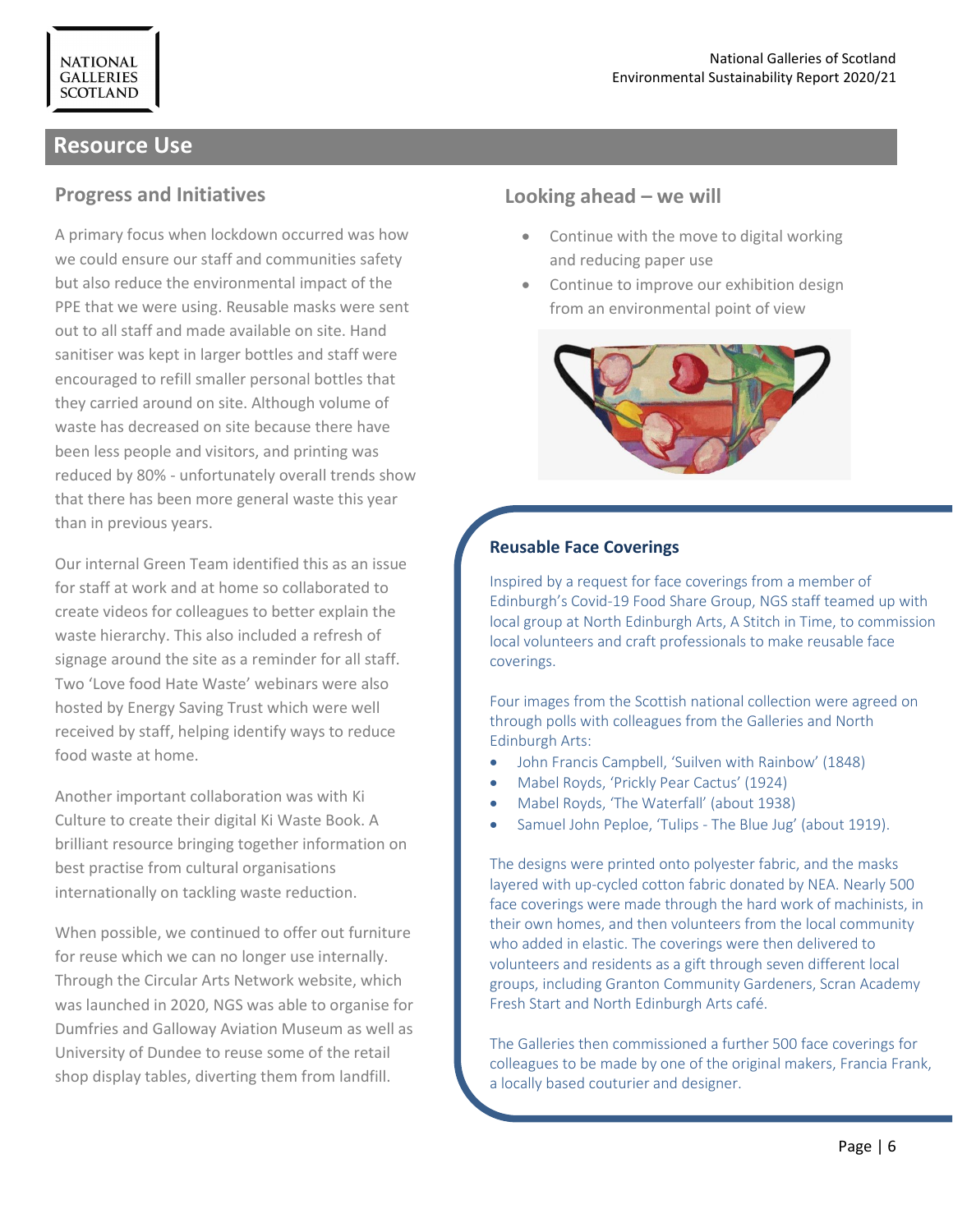# **Resource Use**

**NATIONAL GALLERIES SCOTLAND** 

#### **Progress and Initiatives**

A primary focus when lockdown occurred was how we could ensure our staff and communities safety but also reduce the environmental impact of the PPE that we were using. Reusable masks were sent out to all staff and made available on site. Hand sanitiser was kept in larger bottles and staff were encouraged to refill smaller personal bottles that they carried around on site. Although volume of waste has decreased on site because there have been less people and visitors, and printing was reduced by 80% - unfortunately overall trends show that there has been more general waste this year than in previous years.

Our internal Green Team identified this as an issue for staff at work and at home so collaborated to create videos for colleagues to better explain the waste hierarchy. This also included a refresh of signage around the site as a reminder for all staff. Two 'Love food Hate Waste' webinars were also hosted by Energy Saving Trust which were well received by staff, helping identify ways to reduce food waste at home.

Another important collaboration was with Ki Culture to create their digital Ki Waste Book. A brilliant resource bringing together information on best practise from cultural organisations internationally on tackling waste reduction.

When possible, we continued to offer out furniture for reuse which we can no longer use internally. Through the Circular Arts Network website, which was launched in 2020, NGS was able to organise for Dumfries and Galloway Aviation Museum as well as University of Dundee to reuse some of the retail shop display tables, diverting them from landfill.

#### **Looking ahead – we will**

- Continue with the move to digital working and reducing paper use
- Continue to improve our exhibition design from an environmental point of view



#### **Reusable Face Coverings**

Inspired by a request for face coverings from a member of Edinburgh's Covid-19 Food Share Group, NGS staff teamed up with local group at North Edinburgh Arts, A Stitch in Time, to commission local volunteers and craft professionals to make reusable face coverings.

Four images from the Scottish national collection were agreed on through polls with colleagues from the Galleries and North Edinburgh Arts:

- John Francis Campbell, 'Suilven with Rainbow' (1848)
- Mabel Royds, 'Prickly Pear Cactus' (1924)
- Mabel Royds, 'The Waterfall' (about 1938)
- Samuel John Peploe, 'Tulips The Blue Jug' (about 1919).

The designs were printed onto polyester fabric, and the masks layered with up-cycled cotton fabric donated by NEA. Nearly 500 face coverings were made through the hard work of machinists, in their own homes, and then volunteers from the local community who added in elastic. The coverings were then delivered to volunteers and residents as a gift through seven different local groups, including Granton Community Gardeners, Scran Academy Fresh Start and North Edinburgh Arts café.

The Galleries then commissioned a further 500 face coverings for colleagues to be made by one of the original makers, Francia Frank, a locally based couturier and designer.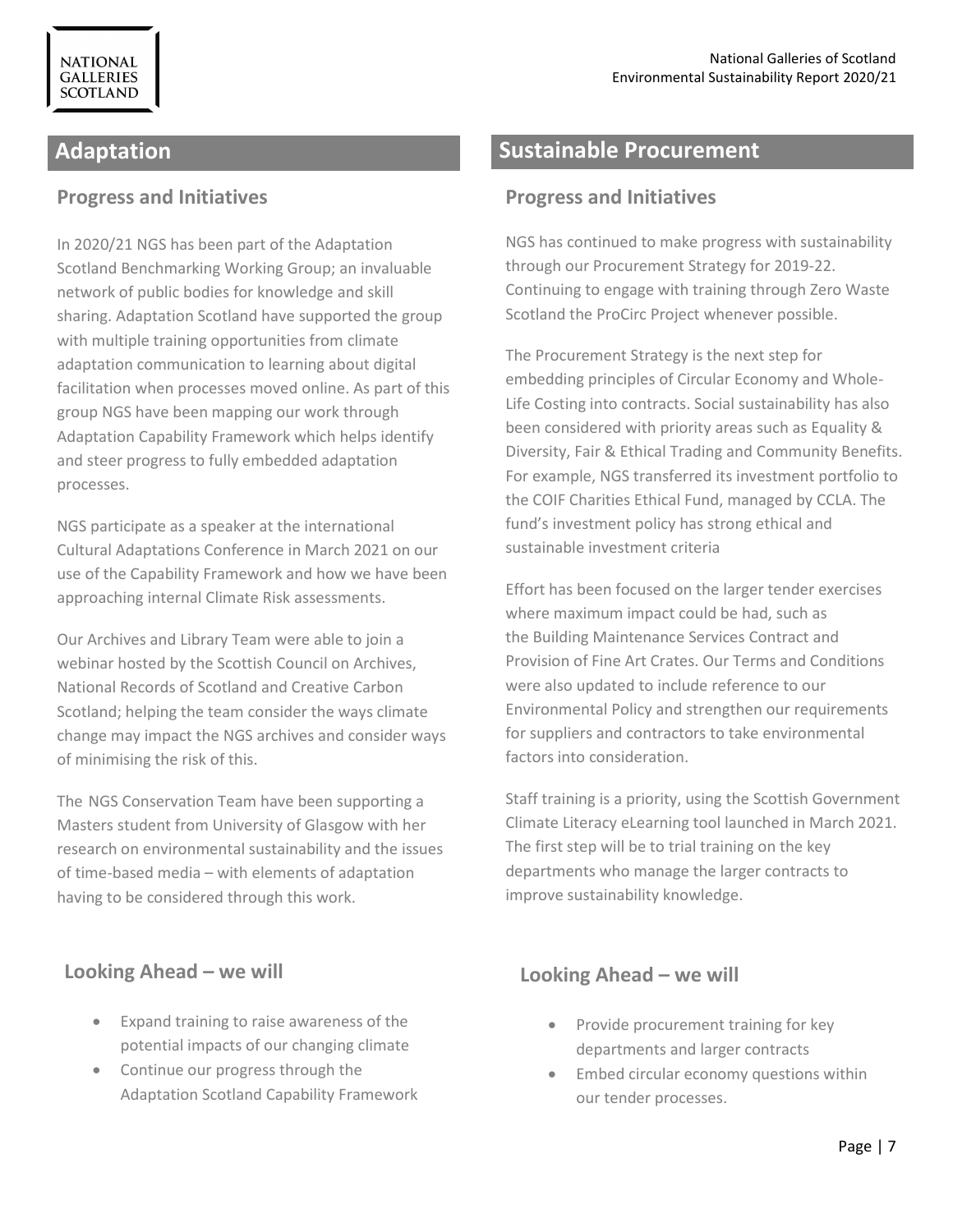**NATIONAL GALLERIES SCOTLAND** 

#### **Progress and Initiatives**

In 2020/21 NGS has been part of the Adaptation Scotland Benchmarking Working Group; an invaluable network of public bodies for knowledge and skill sharing. Adaptation Scotland have supported the group with multiple training opportunities from climate adaptation communication to learning about digital facilitation when processes moved online. As part of this group NGS have been mapping our work through Adaptation Capability Framework which helps identify and steer progress to fully embedded adaptation processes.

NGS participate as a speaker at the international Cultural Adaptations Conference in March 2021 on our use of the Capability Framework and how we have been approaching internal Climate Risk assessments.

Our Archives and Library Team were able to join a webinar hosted by the Scottish Council on Archives, National Records of Scotland and Creative Carbon Scotland; helping the team consider the ways climate change may impact the NGS archives and consider ways of minimising the risk of this.

The NGS Conservation Team have been supporting a Masters student from University of Glasgow with her research on environmental sustainability and the issues of time-based media – with elements of adaptation having to be considered through this work.

# **Looking Ahead – we will**

- Expand training to raise awareness of the potential impacts of our changing climate
- Continue our progress through the Adaptation Scotland Capability Framework

# **Adaptation Sustainable Procurement**

#### **Progress and Initiatives**

NGS has continued to make progress with sustainability through our Procurement Strategy for 2019-22. Continuing to engage with training through Zero Waste Scotland the ProCirc Project whenever possible.

The Procurement Strategy is the next step for embedding principles of Circular Economy and Whole-Life Costing into contracts. Social sustainability has also been considered with priority areas such as Equality & Diversity, Fair & Ethical Trading and Community Benefits. For example, NGS transferred its investment portfolio to the COIF Charities Ethical Fund, managed by CCLA. The fund's investment policy has strong ethical and sustainable investment criteria

Effort has been focused on the larger tender exercises where maximum impact could be had, such as the Building Maintenance Services Contract and Provision of Fine Art Crates. Our Terms and Conditions were also updated to include reference to our Environmental Policy and strengthen our requirements for suppliers and contractors to take environmental factors into consideration.

Staff training is a priority, using the Scottish Government Climate Literacy eLearning tool launched in March 2021. The first step will be to trial training on the key departments who manage the larger contracts to improve sustainability knowledge.

#### **Looking Ahead – we will**

- Provide procurement training for key departments and larger contracts
- Embed circular economy questions within our tender processes.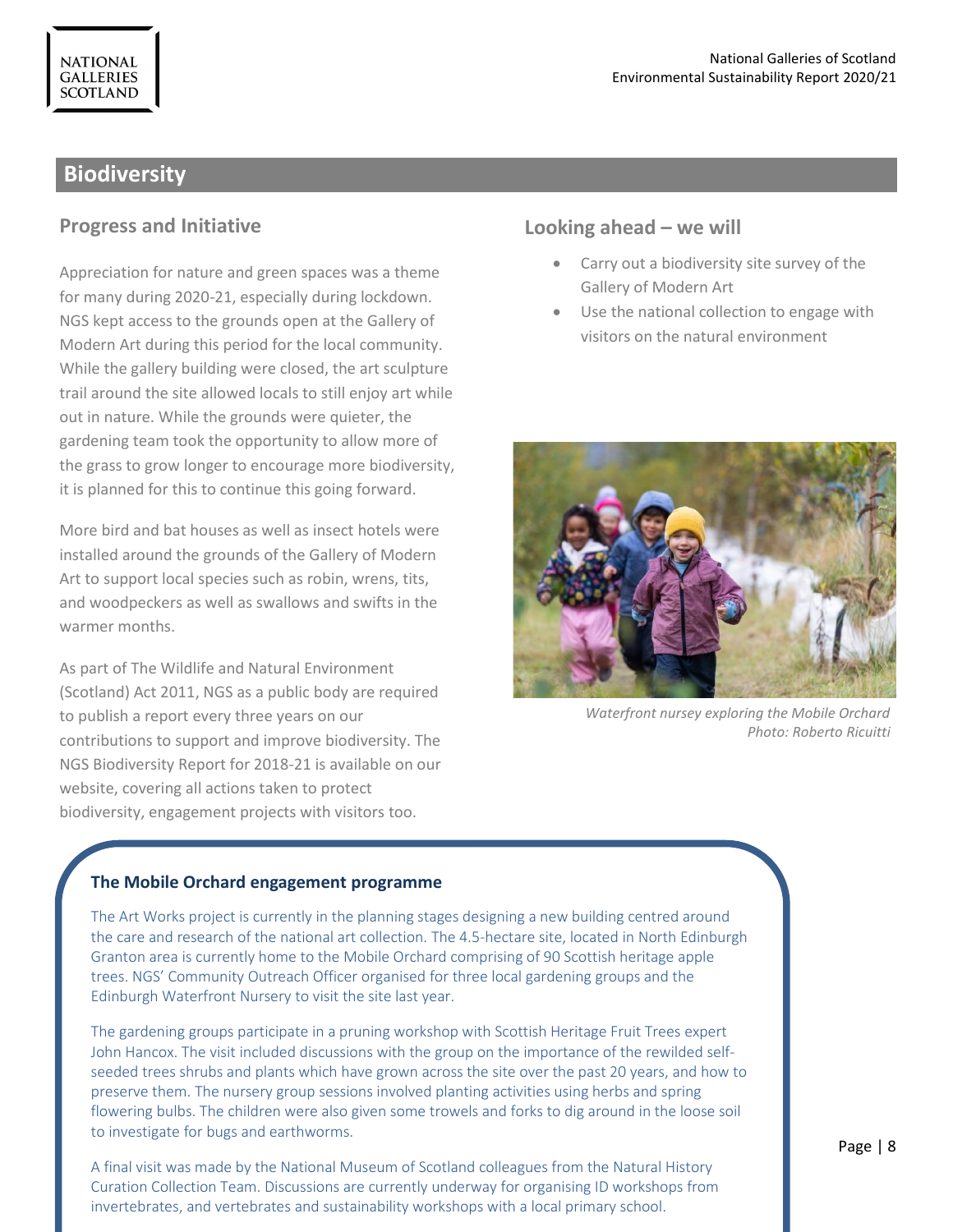# **Biodiversity**

#### **Progress and Initiative**

Appreciation for nature and green spaces was a theme for many during 2020-21, especially during lockdown. NGS kept access to the grounds open at the Gallery of Modern Art during this period for the local community. While the gallery building were closed, the art sculpture trail around the site allowed locals to still enjoy art while out in nature. While the grounds were quieter, the gardening team took the opportunity to allow more of the grass to grow longer to encourage more biodiversity, it is planned for this to continue this going forward.

More bird and bat houses as well as insect hotels were installed around the grounds of the Gallery of Modern Art to support local species such as robin, wrens, tits, and woodpeckers as well as swallows and swifts in the warmer months.

As part of The Wildlife and Natural Environment (Scotland) Act 2011, NGS as a public body are required to publish a report every three years on our contributions to support and improve biodiversity. The NGS Biodiversity Report for 2018-21 is available on our website, covering all actions taken to protect biodiversity, engagement projects with visitors too.

#### **Looking ahead – we will**

- Carry out a biodiversity site survey of the Gallery of Modern Art
- Use the national collection to engage with visitors on the natural environment



*Waterfront nursey exploring the Mobile Orchard Photo: Roberto Ricuitti*

#### **The Mobile Orchard engagement programme**

The Art Works project is currently in the planning stages designing a new building centred around the care and research of the national art collection. The 4.5-hectare site, located in North Edinburgh Granton area is currently home to the Mobile Orchard comprising of 90 Scottish heritage apple trees. NGS' Community Outreach Officer organised for three local gardening groups and the Edinburgh Waterfront Nursery to visit the site last year.

The gardening groups participate in a pruning workshop with Scottish Heritage Fruit Trees expert John Hancox. The visit included discussions with the group on the importance of the rewilded selfseeded trees shrubs and plants which have grown across the site over the past 20 years, and how to preserve them. The nursery group sessions involved planting activities using herbs and spring flowering bulbs. The children were also given some trowels and forks to dig around in the loose soil to investigate for bugs and earthworms.

A final visit was made by the National Museum of Scotland colleagues from the Natural History Curation Collection Team. Discussions are currently underway for organising ID workshops from invertebrates, and vertebrates and sustainability workshops with a local primary school.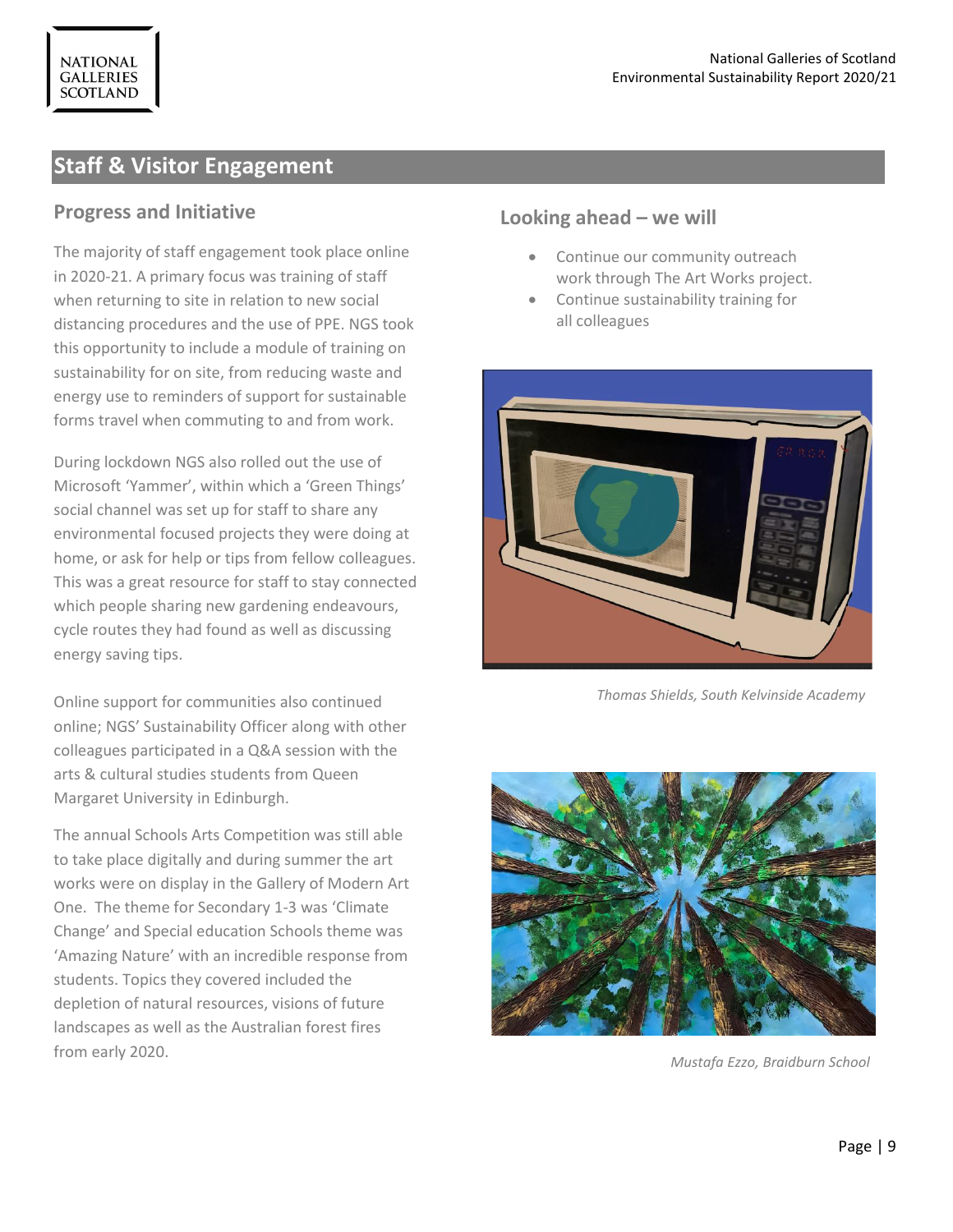# **Staff & Visitor Engagement**

## **Progress and Initiative**

The majority of staff engagement took place online in 2020-21. A primary focus was training of staff when returning to site in relation to new social distancing procedures and the use of PPE. NGS took this opportunity to include a module of training on sustainability for on site, from reducing waste and energy use to reminders of support for sustainable forms travel when commuting to and from work.

During lockdown NGS also rolled out the use of Microsoft 'Yammer', within which a 'Green Things' social channel was set up for staff to share any environmental focused projects they were doing at home, or ask for help or tips from fellow colleagues. This was a great resource for staff to stay connected which people sharing new gardening endeavours, cycle routes they had found as well as discussing energy saving tips.

Online support for communities also continued online; NGS' Sustainability Officer along with other colleagues participated in a Q&A session with the arts & cultural studies students from Queen Margaret University in Edinburgh.

The annual Schools Arts Competition was still able to take place digitally and during summer the art works were on display in the Gallery of Modern Art One. The theme for Secondary 1-3 was 'Climate Change' and Special education Schools theme was 'Amazing Nature' with an incredible response from students. Topics they covered included the depletion of natural resources, visions of future landscapes as well as the Australian forest fires from early 2020.

## **Looking ahead – we will**

- Continue our community outreach work through The Art Works project.
- Continue sustainability training for all colleagues



*Thomas Shields, South Kelvinside Academy*



*Mustafa Ezzo, Braidburn School*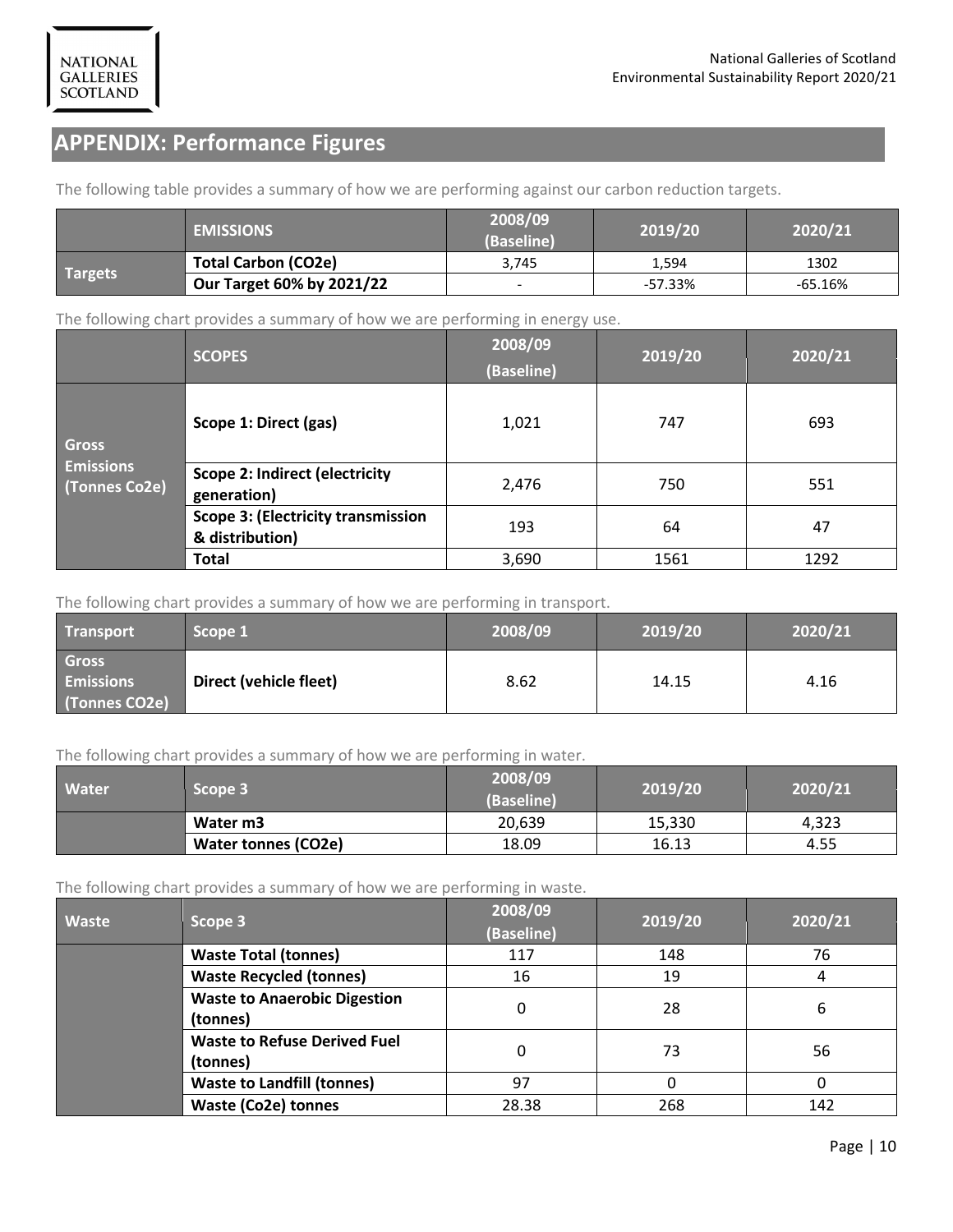# **APPENDIX: Performance Figures**

The following table provides a summary of how we are performing against our carbon reduction targets.

|                | <b>EMISSIONS</b>           | 2008/09<br>(Baseline) | 2019/20   | 2020/21   |  |
|----------------|----------------------------|-----------------------|-----------|-----------|--|
| <b>Targets</b> | <b>Total Carbon (CO2e)</b> | 3.745                 | 1.594     | 1302      |  |
|                | Our Target 60% by 2021/22  |                       | $-57.33%$ | $-65.16%$ |  |

The following chart provides a summary of how we are performing in energy use.

|                                   | <b>SCOPES</b>                                                | 2008/09<br>(Baseline) | 2019/20 | 2020/21 |
|-----------------------------------|--------------------------------------------------------------|-----------------------|---------|---------|
| <b>Gross</b>                      | Scope 1: Direct (gas)                                        | 1,021                 | 747     | 693     |
| <b>Emissions</b><br>(Tonnes Co2e) | <b>Scope 2: Indirect (electricity</b><br>generation)         | 2,476                 | 750     | 551     |
|                                   | <b>Scope 3: (Electricity transmission</b><br>& distribution) | 193                   | 64      | 47      |
|                                   | <b>Total</b>                                                 | 3,690                 | 1561    | 1292    |

The following chart provides a summary of how we are performing in transport.

| <b>Transport</b>                                  | Scope 1                | 2008/09 | 2019/20 | 2020/21 |
|---------------------------------------------------|------------------------|---------|---------|---------|
| <b>Gross</b><br><b>Emissions</b><br>(Tonnes CO2e) | Direct (vehicle fleet) | 8.62    | 14.15   | 4.16    |

The following chart provides a summary of how we are performing in water.

| Water | Scope 3                    |        | 2019/20 | 2020/21 |  |
|-------|----------------------------|--------|---------|---------|--|
|       | Water m3                   | 20,639 | 15,330  | 4.323   |  |
|       | <b>Water tonnes (CO2e)</b> | 18.09  | 16.13   | 4.55    |  |

The following chart provides a summary of how we are performing in waste.

| $\tilde{}$<br><b>Waste</b> | Scope 3                                         | 2008/09<br>(Baseline) | 2019/20 | 2020/21 |
|----------------------------|-------------------------------------------------|-----------------------|---------|---------|
|                            | <b>Waste Total (tonnes)</b>                     | 117                   | 148     | 76      |
|                            | <b>Waste Recycled (tonnes)</b>                  | 16                    | 19      | 4       |
|                            | <b>Waste to Anaerobic Digestion</b><br>(tonnes) | 0                     | 28      | 6       |
|                            | <b>Waste to Refuse Derived Fuel</b><br>(tonnes) | 0                     | 73      | 56      |
|                            | <b>Waste to Landfill (tonnes)</b>               | 97                    | 0       | 0       |
|                            | <b>Waste (Co2e) tonnes</b>                      | 28.38                 | 268     | 142     |